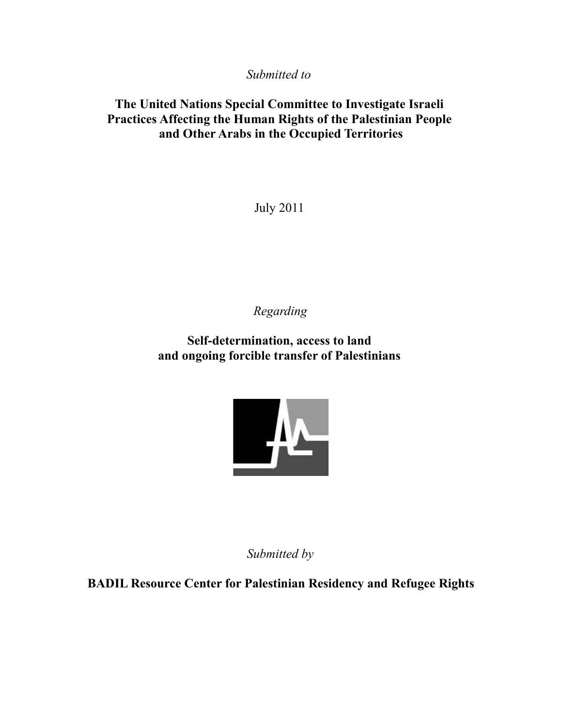*Submitted to* 

# **The United Nations Special Committee to Investigate Israeli Practices Affecting the Human Rights of the Palestinian People and Other Arabs in the Occupied Territories**

July 2011

*Regarding*

**Self-determination, access to land and ongoing forcible transfer of Palestinians** 



*Submitted by*

**BADIL Resource Center for Palestinian Residency and Refugee Rights**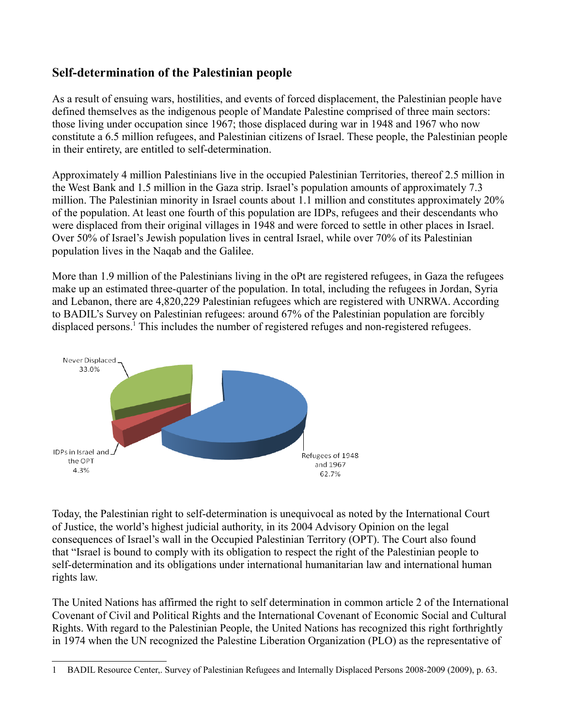# **Self-determination of the Palestinian people**

As a result of ensuing wars, hostilities, and events of forced displacement, the Palestinian people have defined themselves as the indigenous people of Mandate Palestine comprised of three main sectors: those living under occupation since 1967; those displaced during war in 1948 and 1967 who now constitute a 6.5 million refugees, and Palestinian citizens of Israel. These people, the Palestinian people in their entirety, are entitled to self-determination.

Approximately 4 million Palestinians live in the occupied Palestinian Territories, thereof 2.5 million in the West Bank and 1.5 million in the Gaza strip. Israel's population amounts of approximately 7.3 million. The Palestinian minority in Israel counts about 1.1 million and constitutes approximately 20% of the population. At least one fourth of this population are IDPs, refugees and their descendants who were displaced from their original villages in 1948 and were forced to settle in other places in Israel. Over 50% of Israel's Jewish population lives in central Israel, while over 70% of its Palestinian population lives in the Naqab and the Galilee.

More than 1.9 million of the Palestinians living in the oPt are registered refugees, in Gaza the refugees make up an estimated three-quarter of the population. In total, including the refugees in Jordan, Syria and Lebanon, there are 4,820,229 Palestinian refugees which are registered with UNRWA. According to BADIL's Survey on Palestinian refugees: around 67% of the Palestinian population are forcibly displaced persons.<sup>[1](#page-1-0)</sup> This includes the number of registered refuges and non-registered refugees.



Today, the Palestinian right to self-determination is unequivocal as noted by the International Court of Justice, the world's highest judicial authority, in its 2004 Advisory Opinion on the legal consequences of Israel's wall in the Occupied Palestinian Territory (OPT). The Court also found that "Israel is bound to comply with its obligation to respect the right of the Palestinian people to self-determination and its obligations under international humanitarian law and international human rights law.

The United Nations has affirmed the right to self determination in common article 2 of the International Covenant of Civil and Political Rights and the International Covenant of Economic Social and Cultural Rights. With regard to the Palestinian People, the United Nations has recognized this right forthrightly in 1974 when the UN recognized the Palestine Liberation Organization (PLO) as the representative of

<span id="page-1-0"></span><sup>1</sup> BADIL Resource Center,. Survey of Palestinian Refugees and Internally Displaced Persons 2008-2009 (2009), p. 63.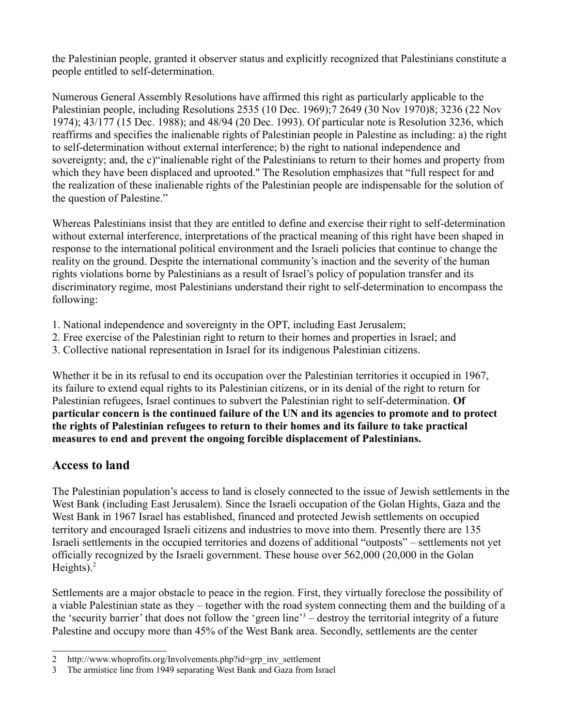the Palestinian people, granted it observer status and explicitly recognized that Palestinians constitute a people entitled to self-determination.

Numerous General Assembly Resolutions have affirmed this right as particularly applicable to the Palestinian people, including Resolutions 2535 (10 Dec. 1969);7 2649 (30 Nov 1970)8; 3236 (22 Nov 1974); 43/177 (15 Dec. 1988); and 48/94 (20 Dec. 1993). Of particular note is Resolution 3236, which reaffirms and specifies the inalienable rights of Palestinian people in Palestine as including: a) the right to self-determination without external interference; b) the right to national independence and sovereignty; and, the c)"inalienable right of the Palestinians to return to their homes and property from which they have been displaced and uprooted." The Resolution emphasizes that "full respect for and the realization of these inalienable rights of the Palestinian people are indispensable for the solution of the question of Palestine."

Whereas Palestinians insist that they are entitled to define and exercise their right to self-determination without external interference, interpretations of the practical meaning of this right have been shaped in response to the international political environment and the Israeli policies that continue to change the reality on the ground. Despite the international community's inaction and the severity of the human rights violations borne by Palestinians as a result of Israel's policy of population transfer and its discriminatory regime, most Palestinians understand their right to self-determination to encompass the following:

- 1. National independence and sovereignty in the OPT, including East Jerusalem;
- 2. Free exercise of the Palestinian right to return to their homes and properties in Israel; and
- 3. Collective national representation in Israel for its indigenous Palestinian citizens.

Whether it be in its refusal to end its occupation over the Palestinian territories it occupied in 1967, its failure to extend equal rights to its Palestinian citizens, or in its denial of the right to return for Palestinian refugees, Israel continues to subvert the Palestinian right to self-determination. **Of particular concern is the continued failure of the UN and its agencies to promote and to protect the rights of Palestinian refugees to return to their homes and its failure to take practical measures to end and prevent the ongoing forcible displacement of Palestinians.**

## **Access to land**

The Palestinian population's access to land is closely connected to the issue of Jewish settlements in the West Bank (including East Jerusalem). Since the Israeli occupation of the Golan Hights, Gaza and the West Bank in 1967 Israel has established, financed and protected Jewish settlements on occupied territory and encouraged Israeli citizens and industries to move into them. Presently there are 135 Israeli settlements in the occupied territories and dozens of additional "outposts" – settlements not yet officially recognized by the Israeli government. These house over 562,000 (20,000 in the Golan Heights). $<sup>2</sup>$  $<sup>2</sup>$  $<sup>2</sup>$ </sup>

Settlements are a major obstacle to peace in the region. First, they virtually foreclose the possibility of a viable Palestinian state as they – together with the road system connecting them and the building of a the 'security barrier' that does not follow the 'green line'<sup>[3](#page-2-1)</sup> – destroy the territorial integrity of a future Palestine and occupy more than 45% of the West Bank area. Secondly, settlements are the center

<span id="page-2-0"></span><sup>2</sup> http://www.whoprofits.org/Involvements.php?id=grp\_inv\_settlement

<span id="page-2-1"></span><sup>3</sup> The armistice line from 1949 separating West Bank and Gaza from Israel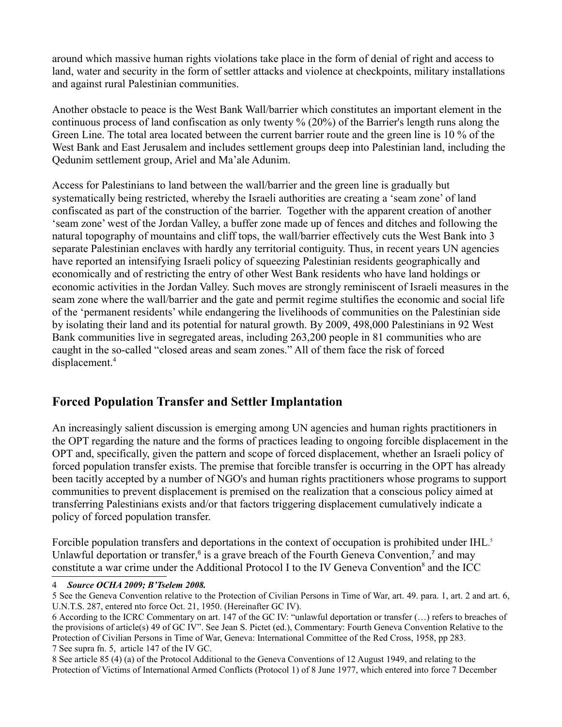around which massive human rights violations take place in the form of denial of right and access to land, water and security in the form of settler attacks and violence at checkpoints, military installations and against rural Palestinian communities.

Another obstacle to peace is the West Bank Wall/barrier which constitutes an important element in the continuous process of land confiscation as only twenty % (20%) of the Barrier's length runs along the Green Line. The total area located between the current barrier route and the green line is 10 % of the West Bank and East Jerusalem and includes settlement groups deep into Palestinian land, including the Qedunim settlement group, Ariel and Ma'ale Adunim.

Access for Palestinians to land between the wall/barrier and the green line is gradually but systematically being restricted, whereby the Israeli authorities are creating a 'seam zone' of land confiscated as part of the construction of the barrier. Together with the apparent creation of another 'seam zone' west of the Jordan Valley, a buffer zone made up of fences and ditches and following the natural topography of mountains and cliff tops, the wall/barrier effectively cuts the West Bank into 3 separate Palestinian enclaves with hardly any territorial contiguity. Thus, in recent years UN agencies have reported an intensifying Israeli policy of squeezing Palestinian residents geographically and economically and of restricting the entry of other West Bank residents who have land holdings or economic activities in the Jordan Valley. Such moves are strongly reminiscent of Israeli measures in the seam zone where the wall/barrier and the gate and permit regime stultifies the economic and social life of the 'permanent residents' while endangering the livelihoods of communities on the Palestinian side by isolating their land and its potential for natural growth. By 2009, 498,000 Palestinians in 92 West Bank communities live in segregated areas, including 263,200 people in 81 communities who are caught in the so-called "closed areas and seam zones." All of them face the risk of forced displacement.[4](#page-3-0)

#### **Forced Population Transfer and Settler Implantation**

An increasingly salient discussion is emerging among UN agencies and human rights practitioners in the OPT regarding the nature and the forms of practices leading to ongoing forcible displacement in the OPT and, specifically, given the pattern and scope of forced displacement, whether an Israeli policy of forced population transfer exists. The premise that forcible transfer is occurring in the OPT has already been tacitly accepted by a number of NGO's and human rights practitioners whose programs to support communities to prevent displacement is premised on the realization that a conscious policy aimed at transferring Palestinians exists and/or that factors triggering displacement cumulatively indicate a policy of forced population transfer.

Forcible population transfers and deportations in the context of occupation is prohibited under IHL.<sup>[5](#page-3-1)</sup> Unlawful deportation or transfer,<sup>[6](#page-3-2)</sup> is a grave breach of the Fourth Geneva Convention,<sup>[7](#page-3-3)</sup> and may constitute a war crime under the Additional Protocol I to the IV Geneva Convention<sup>[8](#page-3-4)</sup> and the ICC

<span id="page-3-0"></span>4 *Source OCHA 2009; B'Tselem 2008.*

<span id="page-3-4"></span><span id="page-3-3"></span>8 See article 85 (4) (a) of the Protocol Additional to the Geneva Conventions of 12 August 1949, and relating to the Protection of Victims of International Armed Conflicts (Protocol 1) of 8 June 1977, which entered into force 7 December

<span id="page-3-1"></span><sup>5</sup> See the Geneva Convention relative to the Protection of Civilian Persons in Time of War, art. 49. para. 1, art. 2 and art. 6, U.N.T.S. 287, entered nto force Oct. 21, 1950. (Hereinafter GC IV).

<span id="page-3-2"></span><sup>6</sup> According to the ICRC Commentary on art. 147 of the GC IV: "unlawful deportation or transfer (…) refers to breaches of the provisions of article(s) 49 of GC IV". See Jean S. Pictet (ed.), Commentary: Fourth Geneva Convention Relative to the Protection of Civilian Persons in Time of War, Geneva: International Committee of the Red Cross, 1958, pp 283. 7 See supra fn. 5, article 147 of the IV GC.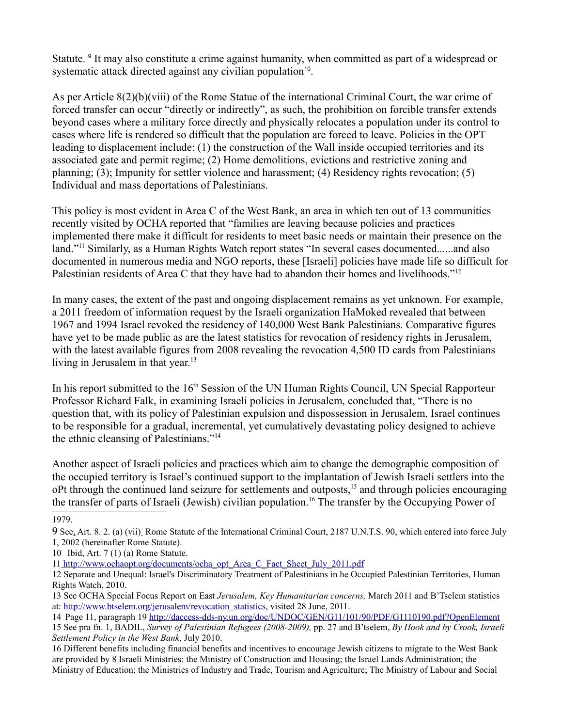Statute.<sup>[9](#page-4-0)</sup> It may also constitute a crime against humanity, when committed as part of a widespread or systematic attack directed against any civilian population<sup>[10](#page-4-1)</sup>.

As per Article 8(2)(b)(viii) of the Rome Statue of the international Criminal Court, the war crime of forced transfer can occur "directly or indirectly", as such, the prohibition on forcible transfer extends beyond cases where a military force directly and physically relocates a population under its control to cases where life is rendered so difficult that the population are forced to leave. Policies in the OPT leading to displacement include: (1) the construction of the Wall inside occupied territories and its associated gate and permit regime; (2) Home demolitions, evictions and restrictive zoning and planning; (3); Impunity for settler violence and harassment; (4) Residency rights revocation; (5) Individual and mass deportations of Palestinians.

This policy is most evident in Area C of the West Bank, an area in which ten out of 13 communities recently visited by OCHA reported that "families are leaving because policies and practices implemented there make it difficult for residents to meet basic needs or maintain their presence on the land."<sup>[11](#page-4-2)</sup> Similarly, as a Human Rights Watch report states "In several cases documented......and also documented in numerous media and NGO reports, these [Israeli] policies have made life so difficult for Palestinian residents of Area C that they have had to abandon their homes and livelihoods."<sup>[12](#page-4-3)</sup>

In many cases, the extent of the past and ongoing displacement remains as yet unknown. For example, a 2011 freedom of information request by the Israeli organization HaMoked revealed that between 1967 and 1994 Israel revoked the residency of 140,000 West Bank Palestinians. Comparative figures have yet to be made public as are the latest statistics for revocation of residency rights in Jerusalem, with the latest available figures from 2008 revealing the revocation 4,500 ID cards from Palestinians living in Jerusalem in that year. $13$ 

In his report submitted to the 16<sup>th</sup> Session of the UN Human Rights Council, UN Special Rapporteur Professor Richard Falk, in examining Israeli policies in Jerusalem, concluded that, "There is no question that, with its policy of Palestinian expulsion and dispossession in Jerusalem, Israel continues to be responsible for a gradual, incremental, yet cumulatively devastating policy designed to achieve the ethnic cleansing of Palestinians."[14](#page-4-5)

Another aspect of Israeli policies and practices which aim to change the demographic composition of the occupied territory is Israel's continued support to the implantation of Jewish Israeli settlers into the oPt through the continued land seizure for settlements and outposts,[15](#page-4-6) and through policies encouraging the transfer of parts of Israeli (Jewish) civilian population.[16](#page-4-7) The transfer by the Occupying Power of

<sup>1979.</sup> 

<span id="page-4-0"></span><sup>9</sup> See, Art. 8. 2. (a) (vii) Rome Statute of the International Criminal Court, 2187 U.N.T.S. 90, which entered into force July 1, 2002 (hereinafter Rome Statute).

<span id="page-4-1"></span><sup>10</sup> Ibid, Art. 7 (1) (a) Rome Statute.

<span id="page-4-2"></span><sup>1</sup>[1 http://www.ochaopt.org/documents/ocha\\_opt\\_Area\\_C\\_Fact\\_Sheet\\_July\\_2011.pdf](file:///tmp/ http://www.ochaopt.org/documents/ocha_opt_Area_C_Fact_Sheet_July_2011.pdf)

<span id="page-4-3"></span><sup>12</sup> Separate and Unequal: Israel's Discriminatory Treatment of Palestinians in he Occupied Palestinian Territories, Human Rights Watch, 2010.

<span id="page-4-4"></span><sup>13</sup> See OCHA Special Focus Report on East *Jerusalem, Key Humanitarian concerns,* March 2011 and B'Tselem statistics at: [http://www.btselem.org/jerusalem/revocation\\_statistics,](http://www.btselem.org/jerusalem/revocation_statistics) visited 28 June, 2011.

<span id="page-4-5"></span><sup>14</sup> Page 11, paragraph 19<http://daccess-dds-ny.un.org/doc/UNDOC/GEN/G11/101/90/PDF/G1110190.pdf?OpenElement>

<span id="page-4-6"></span><sup>15</sup> See pra fn. 1, BADIL, *Survey of Palestinian Refugees (2008-2009),* pp. 27 and B'tselem, *By Hook and by Crook, Israeli Settlement Policy in the West Bank*, July 2010.

<span id="page-4-7"></span><sup>16</sup> Different benefits including financial benefits and incentives to encourage Jewish citizens to migrate to the West Bank are provided by 8 Israeli Ministries: the Ministry of Construction and Housing; the Israel Lands Administration; the Ministry of Education; the Ministries of Industry and Trade, Tourism and Agriculture; The Ministry of Labour and Social